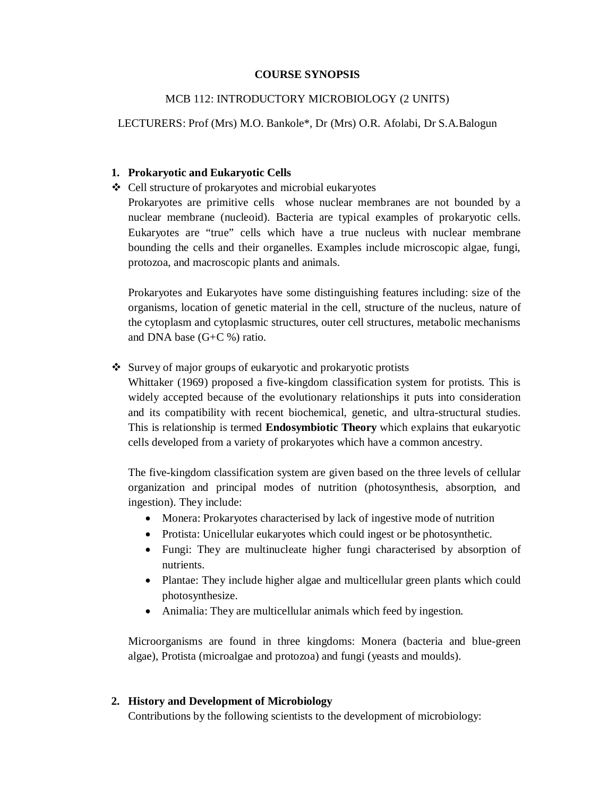### **COURSE SYNOPSIS**

## MCB 112: INTRODUCTORY MICROBIOLOGY (2 UNITS)

### LECTURERS: Prof (Mrs) M.O. Bankole\*, Dr (Mrs) O.R. Afolabi, Dr S.A.Balogun

### **1. Prokaryotic and Eukaryotic Cells**

Cell structure of prokaryotes and microbial eukaryotes

Prokaryotes are primitive cells whose nuclear membranes are not bounded by a nuclear membrane (nucleoid). Bacteria are typical examples of prokaryotic cells. Eukaryotes are "true" cells which have a true nucleus with nuclear membrane bounding the cells and their organelles. Examples include microscopic algae, fungi, protozoa, and macroscopic plants and animals.

Prokaryotes and Eukaryotes have some distinguishing features including: size of the organisms, location of genetic material in the cell, structure of the nucleus, nature of the cytoplasm and cytoplasmic structures, outer cell structures, metabolic mechanisms and DNA base (G+C %) ratio.

### Survey of major groups of eukaryotic and prokaryotic protists

Whittaker (1969) proposed a five-kingdom classification system for protists. This is widely accepted because of the evolutionary relationships it puts into consideration and its compatibility with recent biochemical, genetic, and ultra-structural studies. This is relationship is termed **Endosymbiotic Theory** which explains that eukaryotic cells developed from a variety of prokaryotes which have a common ancestry.

The five-kingdom classification system are given based on the three levels of cellular organization and principal modes of nutrition (photosynthesis, absorption, and ingestion). They include:

- Monera: Prokaryotes characterised by lack of ingestive mode of nutrition
- Protista: Unicellular eukaryotes which could ingest or be photosynthetic.
- Fungi: They are multinucleate higher fungi characterised by absorption of nutrients.
- Plantae: They include higher algae and multicellular green plants which could photosynthesize.
- Animalia: They are multicellular animals which feed by ingestion.

Microorganisms are found in three kingdoms: Monera (bacteria and blue-green algae), Protista (microalgae and protozoa) and fungi (yeasts and moulds).

## **2. History and Development of Microbiology**

Contributions by the following scientists to the development of microbiology: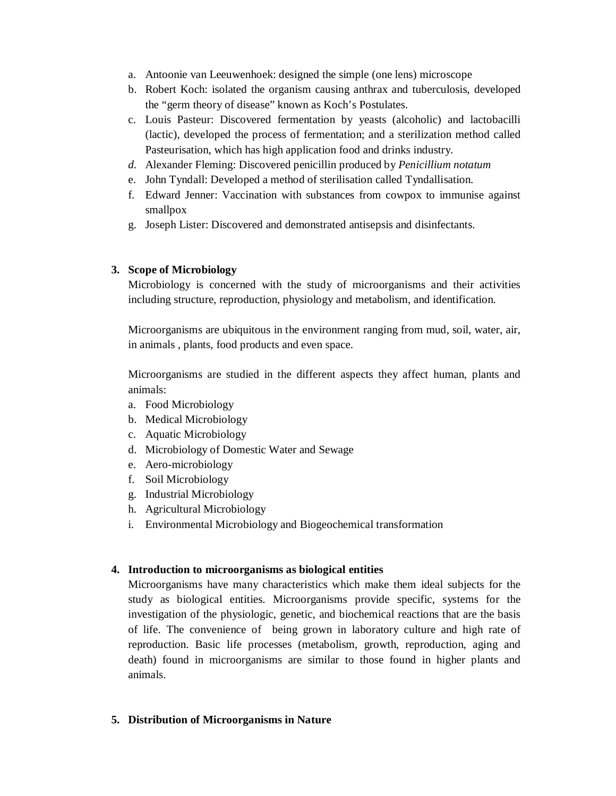- a. Antoonie van Leeuwenhoek: designed the simple (one lens) microscope
- b. Robert Koch: isolated the organism causing anthrax and tuberculosis, developed the "germ theory of disease" known as Koch's Postulates.
- c. Louis Pasteur: Discovered fermentation by yeasts (alcoholic) and lactobacilli (lactic), developed the process of fermentation; and a sterilization method called Pasteurisation, which has high application food and drinks industry.
- *d.* Alexander Fleming: Discovered penicillin produced by *Penicillium notatum*
- e. John Tyndall: Developed a method of sterilisation called Tyndallisation.
- f. Edward Jenner: Vaccination with substances from cowpox to immunise against smallpox
- g. Joseph Lister: Discovered and demonstrated antisepsis and disinfectants.

# **3. Scope of Microbiology**

Microbiology is concerned with the study of microorganisms and their activities including structure, reproduction, physiology and metabolism, and identification.

Microorganisms are ubiquitous in the environment ranging from mud, soil, water, air, in animals , plants, food products and even space.

Microorganisms are studied in the different aspects they affect human, plants and animals:

- a. Food Microbiology
- b. Medical Microbiology
- c. Aquatic Microbiology
- d. Microbiology of Domestic Water and Sewage
- e. Aero-microbiology
- f. Soil Microbiology
- g. Industrial Microbiology
- h. Agricultural Microbiology
- i. Environmental Microbiology and Biogeochemical transformation

# **4. Introduction to microorganisms as biological entities**

Microorganisms have many characteristics which make them ideal subjects for the study as biological entities. Microorganisms provide specific, systems for the investigation of the physiologic, genetic, and biochemical reactions that are the basis of life. The convenience of being grown in laboratory culture and high rate of reproduction. Basic life processes (metabolism, growth, reproduction, aging and death) found in microorganisms are similar to those found in higher plants and animals.

# **5. Distribution of Microorganisms in Nature**